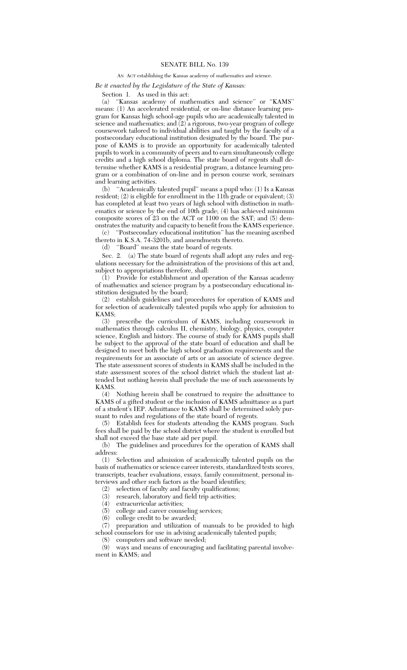## AN ACT establishing the Kansas academy of mathematics and science.

## *Be it enacted by the Legislature of the State of Kansas:*

Section 1. As used in this act:

(a) ''Kansas academy of mathematics and science'' or ''KAMS'' means: (1) An accelerated residential, or on-line distance learning program for Kansas high school-age pupils who are academically talented in science and mathematics; and (2) a rigorous, two-year program of college coursework tailored to individual abilities and taught by the faculty of a postsecondary educational institution designated by the board. The purpose of KAMS is to provide an opportunity for academically talented pupils to work in a community of peers and to earn simultaneously college credits and a high school diploma. The state board of regents shall determine whether KAMS is a residential program, a distance learning program or a combination of on-line and in person course work, seminars and learning activities.

(b) ''Academically talented pupil'' means a pupil who: (1) Is a Kansas resident; (2) is eligible for enrollment in the 11th grade or equivalent; (3) has completed at least two years of high school with distinction in mathematics or science by the end of 10th grade; (4) has achieved minimum composite scores of 23 on the ACT or 1100 on the SAT; and (5) demonstrates the maturity and capacity to benefit from the KAMS experience.

(c) ''Postsecondary educational institution'' has the meaning ascribed thereto in K.S.A. 74-3201b, and amendments thereto.

(d) ''Board'' means the state board of regents.

Sec. 2. (a) The state board of regents shall adopt any rules and regulations necessary for the administration of the provisions of this act and, subject to appropriations therefore, shall:

(1) Provide for establishment and operation of the Kansas academy of mathematics and science program by a postsecondary educational institution designated by the board;

(2) establish guidelines and procedures for operation of KAMS and for selection of academically talented pupils who apply for admission to KAMS;

(3) prescribe the curriculum of KAMS, including coursework in mathematics through calculus II, chemistry, biology, physics, computer science, English and history. The course of study for KAMS pupils shall be subject to the approval of the state board of education and shall be designed to meet both the high school graduation requirements and the requirements for an associate of arts or an associate of science degree. The state assessment scores of students in KAMS shall be included in the state assessment scores of the school district which the student last attended but nothing herein shall preclude the use of such assessments by KAMS.

(4) Nothing herein shall be construed to require the admittance to KAMS of a gifted student or the inclusion of KAMS admittance as a part of a student's IEP. Admittance to KAMS shall be determined solely pursuant to rules and regulations of the state board of regents.

(5) Establish fees for students attending the KAMS program. Such fees shall be paid by the school district where the student is enrolled but shall not exceed the base state aid per pupil.

(b) The guidelines and procedures for the operation of KAMS shall address:

(1) Selection and admission of academically talented pupils on the basis of mathematics or science career interests, standardized tests scores, transcripts, teacher evaluations, essays, family commitment, personal interviews and other such factors as the board identifies;

(2) selection of faculty and faculty qualifications; research, laboratory and field trip activities;

(4) extracurricular activities;

(5) college and career counseling services;

(6) college credit to be awarded;

(7) preparation and utilization of manuals to be provided to high school counselors for use in advising academically talented pupils;

(8) computers and software needed;

(9) ways and means of encouraging and facilitating parental involvement in KAMS; and